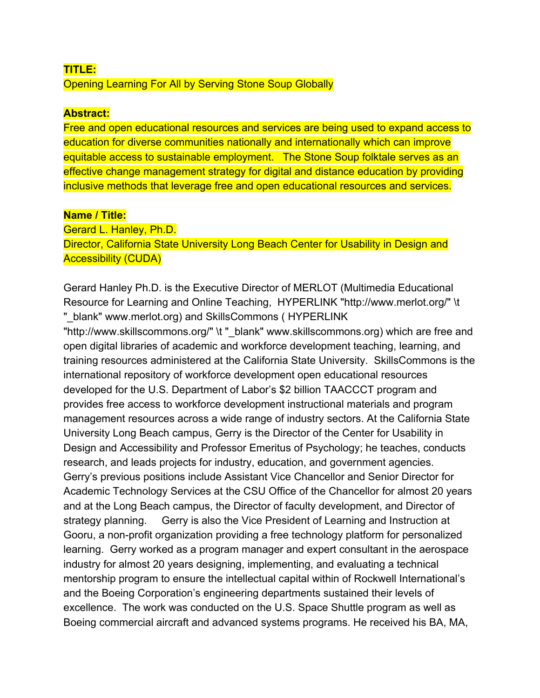## **TITLE:** Opening Learning For All by Serving Stone Soup Globally

## **Abstract:**

Free and open educational resources and services are being used to expand access to education for diverse communities nationally and internationally which can improve equitable access to sustainable employment. The Stone Soup folktale serves as an effective change management strategy for digital and distance education by providing inclusive methods that leverage free and open educational resources and services.

## **Name / Title:**

Gerard L. Hanley, Ph.D.

Director, California State University Long Beach Center for Usability in Design and Accessibility (CUDA)

Gerard Hanley Ph.D. is the Executive Director of MERLOT (Multimedia Educational Resource for Learning and Online Teaching, HYPERLINK "http://www.merlot.org/" \t "\_blank" www.merlot.org) and SkillsCommons ( HYPERLINK

"http://www.skillscommons.org/" \t "\_blank" www.skillscommons.org) which are free and open digital libraries of academic and workforce development teaching, learning, and training resources administered at the California State University. SkillsCommons is the international repository of workforce development open educational resources developed for the U.S. Department of Labor's \$2 billion TAACCCT program and provides free access to workforce development instructional materials and program management resources across a wide range of industry sectors. At the California State University Long Beach campus, Gerry is the Director of the Center for Usability in Design and Accessibility and Professor Emeritus of Psychology; he teaches, conducts research, and leads projects for industry, education, and government agencies. Gerry's previous positions include Assistant Vice Chancellor and Senior Director for Academic Technology Services at the CSU Office of the Chancellor for almost 20 years and at the Long Beach campus, the Director of faculty development, and Director of strategy planning. Gerry is also the Vice President of Learning and Instruction at Gooru, a non-profit organization providing a free technology platform for personalized learning. Gerry worked as a program manager and expert consultant in the aerospace industry for almost 20 years designing, implementing, and evaluating a technical mentorship program to ensure the intellectual capital within of Rockwell International's and the Boeing Corporation's engineering departments sustained their levels of excellence. The work was conducted on the U.S. Space Shuttle program as well as Boeing commercial aircraft and advanced systems programs. He received his BA, MA,